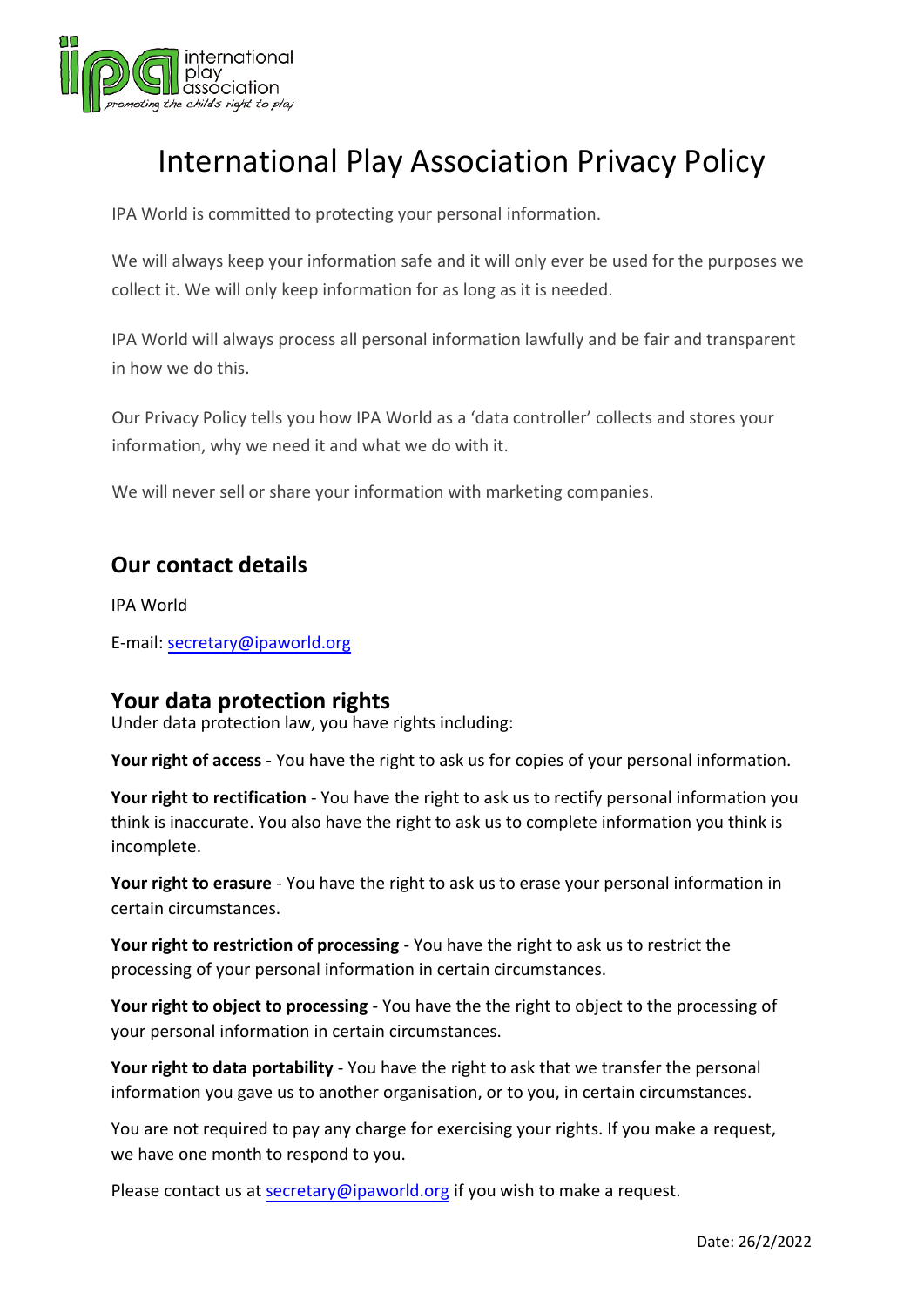

# International Play Association Privacy Policy

IPA World is committed to protecting your personal information.

We will always keep your information safe and it will only ever be used for the purposes we collect it. We will only keep information for as long as it is needed.

IPA World will always process all personal information lawfully and be fair and transparent in how we do this.

Our Privacy Policy tells you how IPA World as a 'data controller' collects and stores your information, why we need it and what we do with it.

We will never sell or share your information with marketing companies.

## **Our contact details**

IPA W[orld](mailto:secretary@ipaworld.org)

E-mail: secretary@ipaworld.org

#### **Your data protection rights**

Under data protection law, you have rights including:

**Your right of access** - You have the right to ask us for copies of your personal information.

**Your right to rectification** - You have the right to ask us to rectify personal information you think is inaccurate. You also have the right to ask us to complete information you think is incomplete.

**Your right to erasure** - You have the right to ask us to erase your personal information in certain circumstances.

**Your right to restriction of processing** - You have the right to ask us to restrict the processing of your personal information in certain circumstances.

**Your right to object to processing** - You have the the right to object to the processing of your personal information in certain circumstances.

**Your right to data portability** - You have the right to ask that we transfer the personal information you gave us to another organisation, or to you, in certain circumstances.

You are not required to pay any charge for exercising your rights. If you make a request, we have one month to respond to you.

Please contact us at [secretary@ipaworld.org](mailto:secretary@ipaworld.org) if you wish to make a request.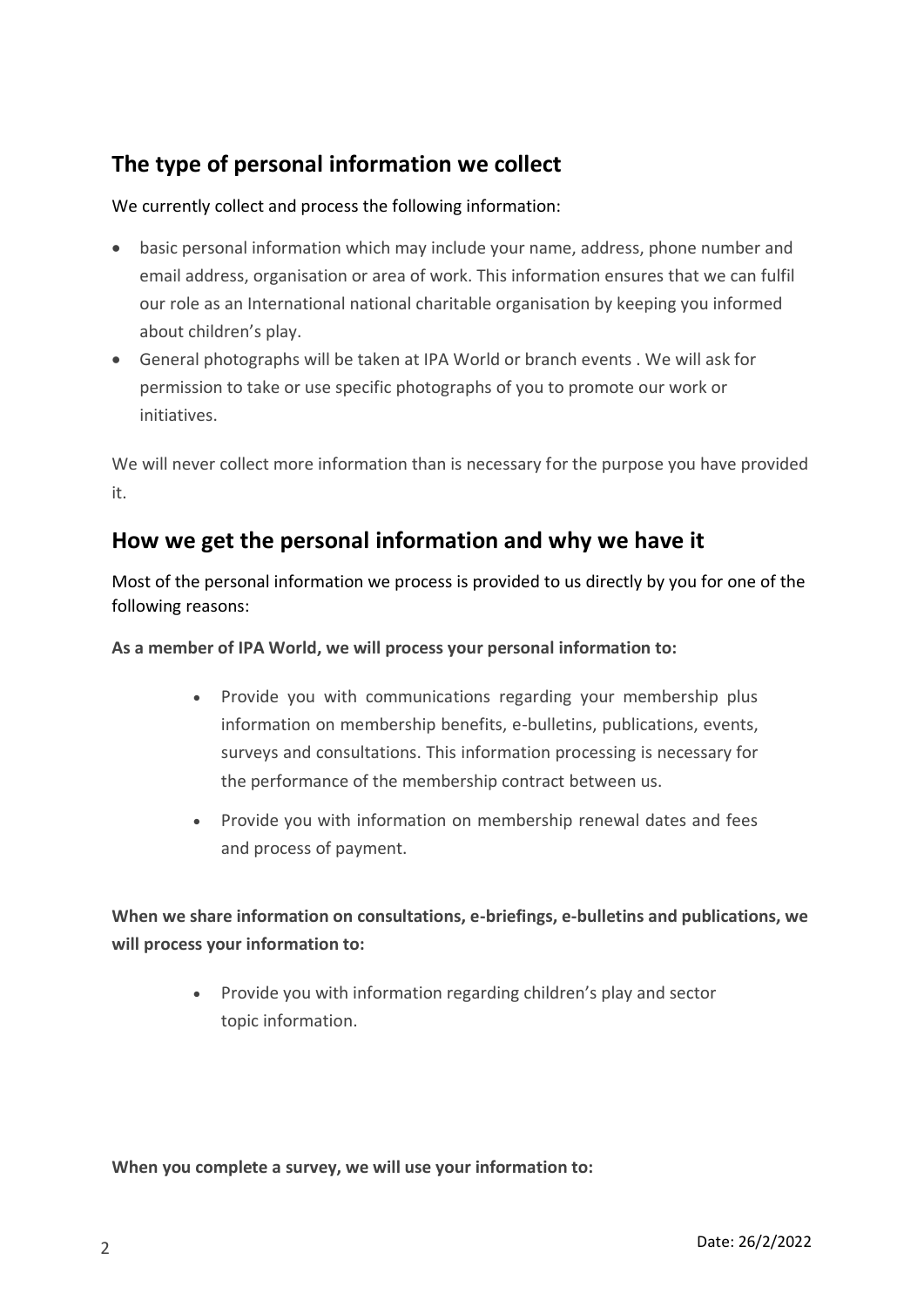# **The type of personal information we collect**

#### We currently collect and process the following information:

- basic personal information which may include your name, address, phone number and email address, organisation or area of work. This information ensures that we can fulfil our role as an International national charitable organisation by keeping you informed about children's play.
- General photographs will be taken at IPA World or branch events . We will ask for permission to take or use specific photographs of you to promote our work or initiatives.

We will never collect more information than is necessary for the purpose you have provided it.

## **How we get the personal information and why we have it**

Most of the personal information we process is provided to us directly by you for one of the following reasons:

**As a member of IPA World, we will process your personal information to:**

- Provide you with communications regarding your membership plus information on membership benefits, e-bulletins, publications, events, surveys and consultations. This information processing is necessary for the performance of the membership contract between us.
- Provide you with information on membership renewal dates and fees and process of payment.

**When we share information on consultations, e-briefings, e-bulletins and publications, we will process your information to:**

> • Provide you with information regarding children's play and sector topic information.

**When you complete a survey, we will use your information to:**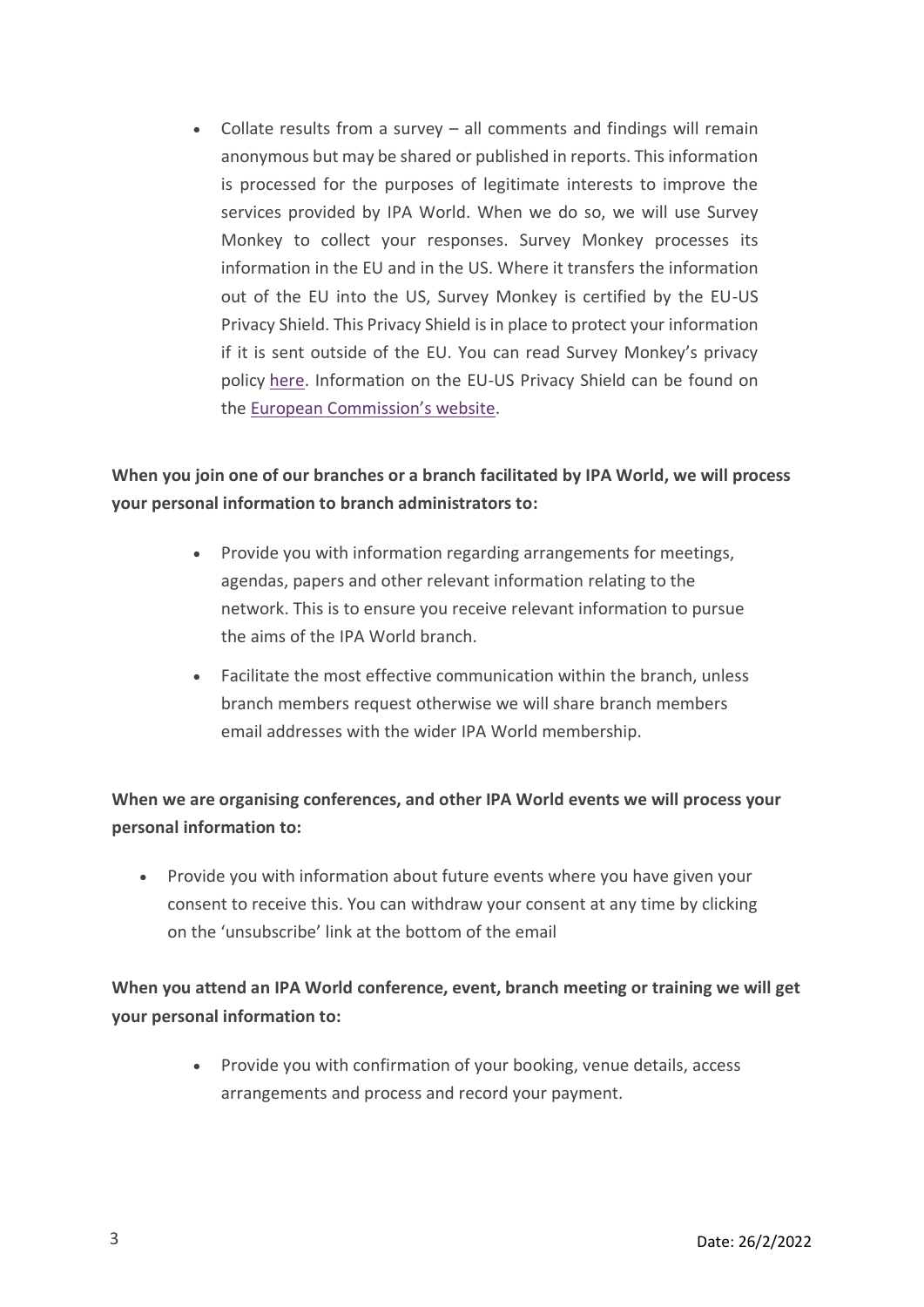• Collate results from a survey – all comments and findings will remain anonymous but may be shared or published in reports. This information is processed for the purposes of legitimate interests to improve the services provided by IPA World. When we do so, we will use Survey Monkey to collect your responses. Survey Monkey processes its information in the EU and in the US. Where it transfers the information out of the EU into the US, Survey Monkey is certified by the EU-US Privacy Shield. This Privacy Shield is in place to protect your information if it is sent outside of the EU. You can read Survey Monkey's privacy policy [here](https://www.surveymonkey.com/mp/legal/privacy-policy/?ut_source=footer#pp-section-10). Information on the EU-US Privacy Shield can be found on the European C[ommission's](https://ec.europa.eu/info/law/law-topic/data-protection/data-transfers-outside-eu/eu-us-privacy-shield_en) website.

#### **When you join one of our branches or a branch facilitated by IPA World, we will process your personal information to branch administrators to:**

- Provide you with information regarding arrangements for meetings, agendas, papers and other relevant information relating to the network. This is to ensure you receive relevant information to pursue the aims of the IPA World branch.
- Facilitate the most effective communication within the branch, unless branch members request otherwise we will share branch members email addresses with the wider IPA World membership.

### **When we are organising conferences, and other IPA World events we will process your personal information to:**

• Provide you with information about future events where you have given your consent to receive this. You can withdraw your consent at any time by clicking on the 'unsubscribe' link at the bottom of the email

### **When you attend an IPA World conference, event, branch meeting or training we will get your personal information to:**

• Provide you with confirmation of your booking, venue details, access arrangements and process and record your payment.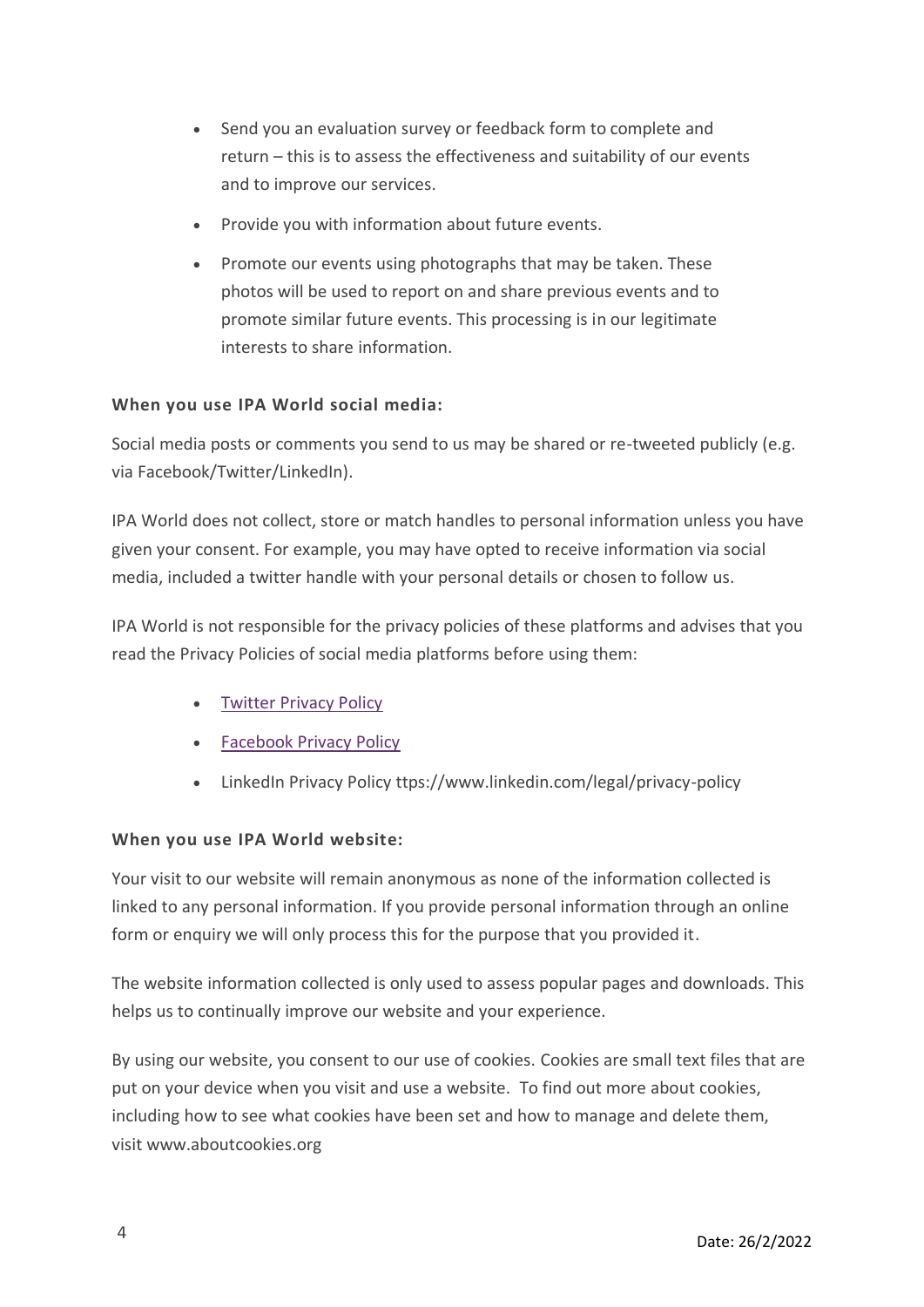- Send you an evaluation survey or feedback form to complete and return – this is to assess the effectiveness and suitability of our events and to improve our services.
- Provide you with information about future events.
- Promote our events using photographs that may be taken. These photos will be used to report on and share previous events and to promote similar future events. This processing is in our legitimate interests to share information.

#### **When you use IPA World social media:**

Social media posts or comments you send to us may be shared or re-tweeted publicly (e.g. via Facebook/Twitter/LinkedIn).

IPA World does not collect, store or match handles to personal information unless you have given your consent. For example, you may have opted to receive information via social media, included a twitter handle with your personal details or chosen to follow us.

IPA World is not responsible for the privacy policies of these platforms and advises that you read the Privacy Policies of social media platforms before using them:

- [Twitter](https://twitter.com/en/privacy) Privacy Policy
- [Facebook](https://www.facebook.com/privacy/explanation) Privacy Policy
- LinkedIn Privacy Policy ttps://www.linkedin.com/legal/privacy-policy

#### **When you use IPA World website:**

Your visit to our website will remain anonymous as none of the information collected is linked to any personal information. If you provide personal information through an online form or enquiry we will only process this for the purpose that you provided it.

The website information collected is only used to assess popular pages and downloads. This helps us to continually improve our website and your experience.

By using our website, you consent to our use of cookies. Cookies are small text files that are put on your device when you visit and use a website. To find out more about cookies, including how to see what cookies have been set and how to manage and delete them, visit www.aboutcookies.org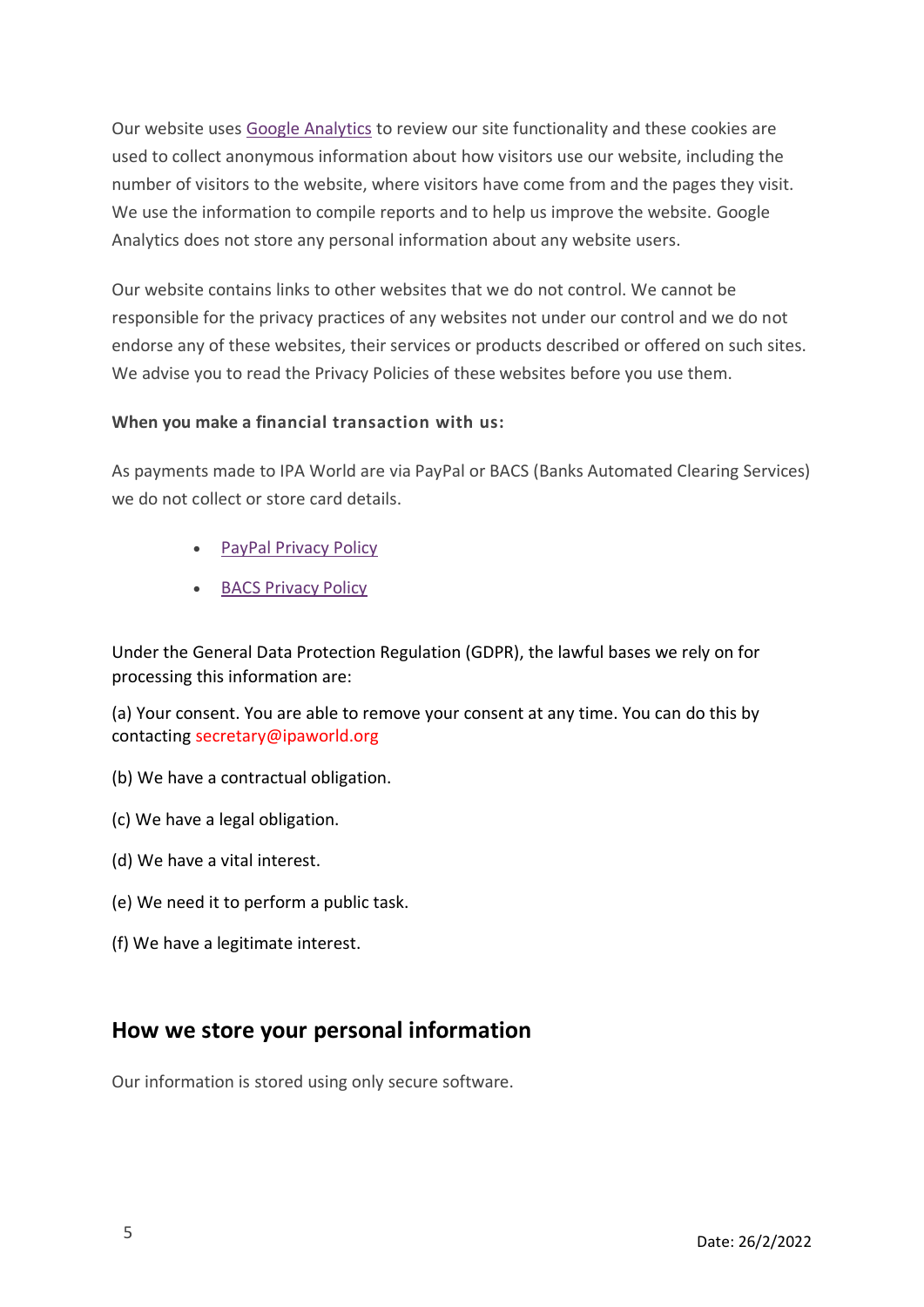Our website uses Google [Analytics](https://support.google.com/analytics/answer/6004245?hl=en-GB) to review our site functionality and these cookies are used to collect anonymous information about how visitors use our website, including the number of visitors to the website, where visitors have come from and the pages they visit. We use the information to compile reports and to help us improve the website. Google Analytics does not store any personal information about any website users.

Our website contains links to other websites that we do not control. We cannot be responsible for the privacy practices of any websites not under our control and we do not endorse any of these websites, their services or products described or offered on such sites. We advise you to read the Privacy Policies of these websites before you use them.

#### **When you make a financial transaction with us:**

As payments made to IPA World are via PayPal or BACS (Banks Automated Clearing Services) we do not collect or store card details.

- PayPal Privacy [Policy](https://www.paypal.com/uk/webapps/mpp/ua/privacy-full)
- BACS P[rivacy](https://www.bacs.co.uk/Pages/PrivacyPolicy.aspx) Policy

Under the General Data Protection Regulation (GDPR), the lawful bases we rely on for processing this information are:

(a) Your consent. You are able to remove your consent at any time. You can do this by contacting secretary@ipaworld.org

- (b) We have a contractual obligation.
- (c) We have a legal obligation.
- (d) We have a vital interest.
- (e) We need it to perform a public task.
- (f) We have a legitimate interest.

## **How we store your personal information**

Our information is stored using only secure software.